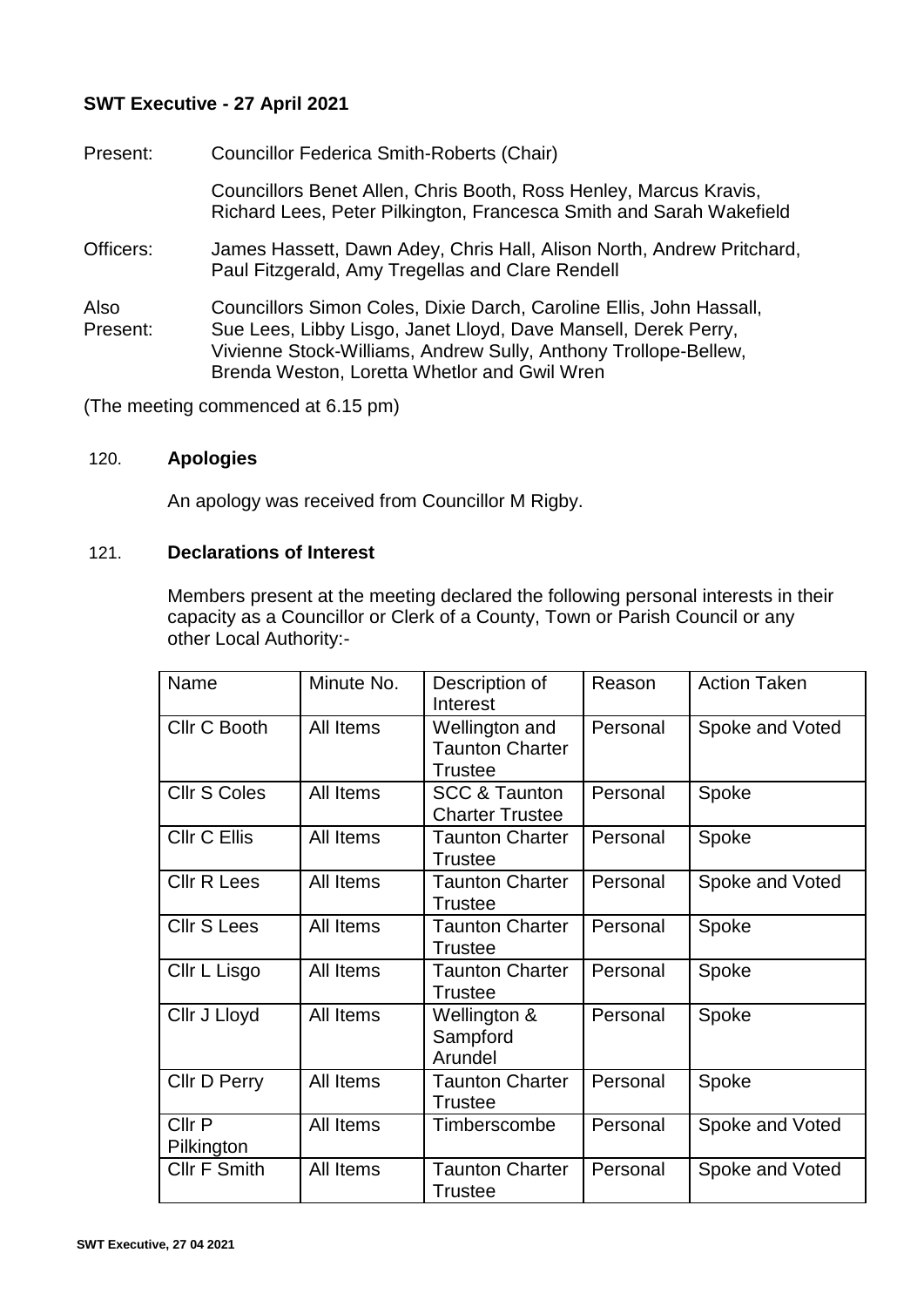# **SWT Executive - 27 April 2021**

Present: Councillor Federica Smith-Roberts (Chair) Councillors Benet Allen, Chris Booth, Ross Henley, Marcus Kravis, Richard Lees, Peter Pilkington, Francesca Smith and Sarah Wakefield Officers: James Hassett, Dawn Adey, Chris Hall, Alison North, Andrew Pritchard, Paul Fitzgerald, Amy Tregellas and Clare Rendell Also Present: Councillors Simon Coles, Dixie Darch, Caroline Ellis, John Hassall, Sue Lees, Libby Lisgo, Janet Lloyd, Dave Mansell, Derek Perry, Vivienne Stock-Williams, Andrew Sully, Anthony Trollope-Bellew, Brenda Weston, Loretta Whetlor and Gwil Wren

(The meeting commenced at 6.15 pm)

# 120. **Apologies**

An apology was received from Councillor M Rigby.

#### 121. **Declarations of Interest**

Members present at the meeting declared the following personal interests in their capacity as a Councillor or Clerk of a County, Town or Parish Council or any other Local Authority:-

| Name                 | Minute No. | Description of<br>Interest                          | Reason   | <b>Action Taken</b> |
|----------------------|------------|-----------------------------------------------------|----------|---------------------|
| Cllr C Booth         | All Items  | Wellington and<br><b>Taunton Charter</b><br>Trustee | Personal | Spoke and Voted     |
| <b>Cllr S Coles</b>  | All Items  | <b>SCC &amp; Taunton</b><br><b>Charter Trustee</b>  | Personal | Spoke               |
| <b>CIIr C Ellis</b>  | All Items  | <b>Taunton Charter</b><br>Trustee                   | Personal | Spoke               |
| <b>CIIr R Lees</b>   | All Items  | <b>Taunton Charter</b><br><b>Trustee</b>            | Personal | Spoke and Voted     |
| <b>Cllr S Lees</b>   | All Items  | <b>Taunton Charter</b><br>Trustee                   | Personal | Spoke               |
| Cllr L Lisgo         | All Items  | <b>Taunton Charter</b><br>Trustee                   | Personal | Spoke               |
| Cllr J Lloyd         | All Items  | Wellington &<br>Sampford<br>Arundel                 | Personal | Spoke               |
| Cllr D Perry         | All Items  | <b>Taunton Charter</b><br><b>Trustee</b>            | Personal | Spoke               |
| Cllr P<br>Pilkington | All Items  | Timberscombe                                        | Personal | Spoke and Voted     |
| <b>Cllr F Smith</b>  | All Items  | <b>Taunton Charter</b><br><b>Trustee</b>            | Personal | Spoke and Voted     |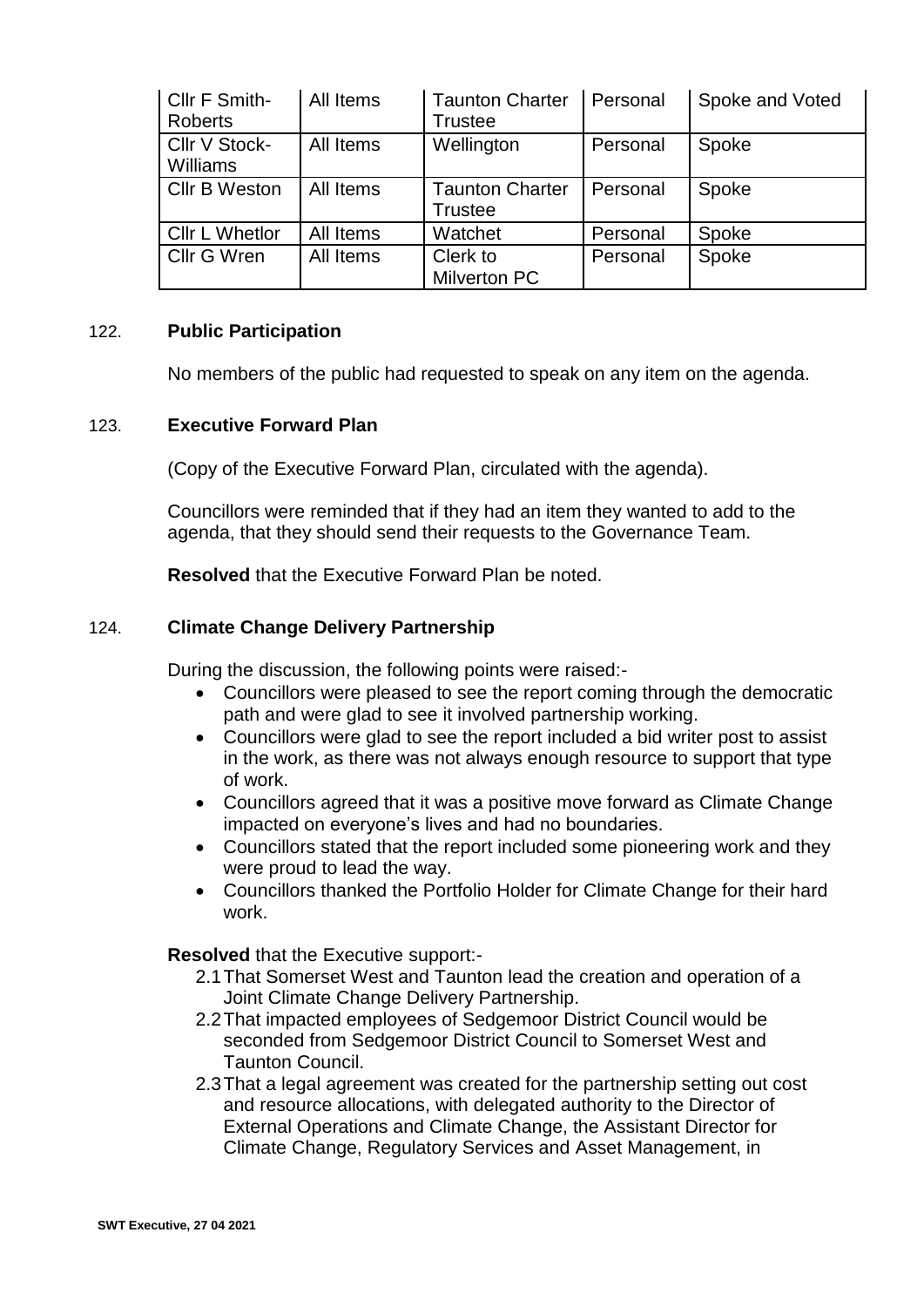| Cllr F Smith-<br><b>Roberts</b> | All Items | <b>Taunton Charter</b><br><b>Trustee</b> | Personal | Spoke and Voted |
|---------------------------------|-----------|------------------------------------------|----------|-----------------|
| Cllr V Stock-<br>Williams       | All Items | Wellington                               | Personal | Spoke           |
| <b>Cllr B Weston</b>            | All Items | <b>Taunton Charter</b><br><b>Trustee</b> | Personal | Spoke           |
| Cllr L Whetlor                  | All Items | Watchet                                  | Personal | Spoke           |
| Cllr G Wren                     | All Items | Clerk to<br><b>Milverton PC</b>          | Personal | Spoke           |

# 122. **Public Participation**

No members of the public had requested to speak on any item on the agenda.

#### 123. **Executive Forward Plan**

(Copy of the Executive Forward Plan, circulated with the agenda).

Councillors were reminded that if they had an item they wanted to add to the agenda, that they should send their requests to the Governance Team.

**Resolved** that the Executive Forward Plan be noted.

# 124. **Climate Change Delivery Partnership**

During the discussion, the following points were raised:-

- Councillors were pleased to see the report coming through the democratic path and were glad to see it involved partnership working.
- Councillors were glad to see the report included a bid writer post to assist in the work, as there was not always enough resource to support that type of work.
- Councillors agreed that it was a positive move forward as Climate Change impacted on everyone's lives and had no boundaries.
- Councillors stated that the report included some pioneering work and they were proud to lead the way.
- Councillors thanked the Portfolio Holder for Climate Change for their hard work.

**Resolved** that the Executive support:-

- 2.1That Somerset West and Taunton lead the creation and operation of a Joint Climate Change Delivery Partnership.
- 2.2That impacted employees of Sedgemoor District Council would be seconded from Sedgemoor District Council to Somerset West and Taunton Council.
- 2.3That a legal agreement was created for the partnership setting out cost and resource allocations, with delegated authority to the Director of External Operations and Climate Change, the Assistant Director for Climate Change, Regulatory Services and Asset Management, in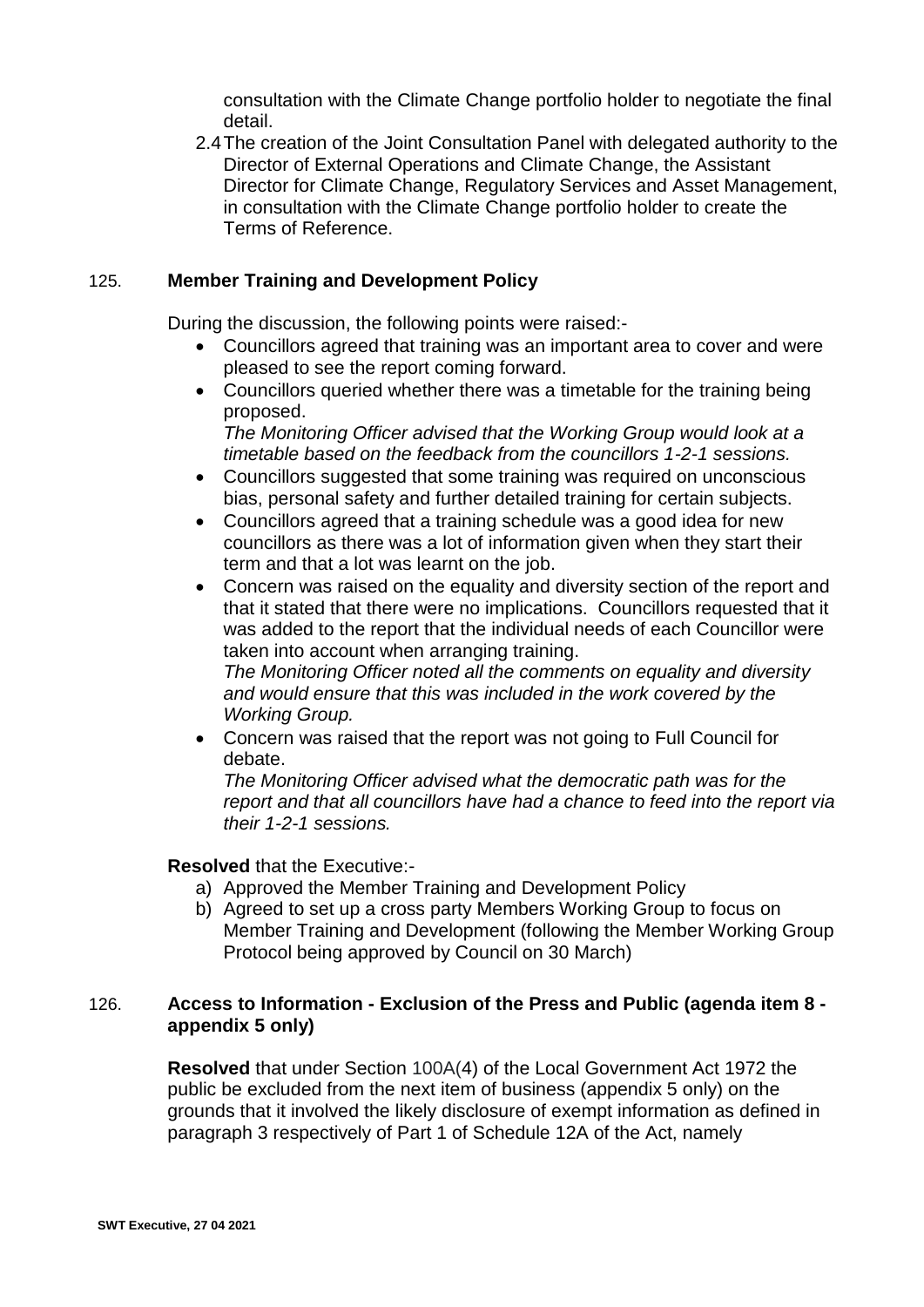consultation with the Climate Change portfolio holder to negotiate the final detail.

2.4The creation of the Joint Consultation Panel with delegated authority to the Director of External Operations and Climate Change, the Assistant Director for Climate Change, Regulatory Services and Asset Management, in consultation with the Climate Change portfolio holder to create the Terms of Reference.

#### 125. **Member Training and Development Policy**

During the discussion, the following points were raised:-

- Councillors agreed that training was an important area to cover and were pleased to see the report coming forward.
- Councillors queried whether there was a timetable for the training being proposed.

*The Monitoring Officer advised that the Working Group would look at a timetable based on the feedback from the councillors 1-2-1 sessions.*

- Councillors suggested that some training was required on unconscious bias, personal safety and further detailed training for certain subjects.
- Councillors agreed that a training schedule was a good idea for new councillors as there was a lot of information given when they start their term and that a lot was learnt on the job.
- Concern was raised on the equality and diversity section of the report and that it stated that there were no implications. Councillors requested that it was added to the report that the individual needs of each Councillor were taken into account when arranging training.

*The Monitoring Officer noted all the comments on equality and diversity and would ensure that this was included in the work covered by the Working Group.*

 Concern was raised that the report was not going to Full Council for debate.

*The Monitoring Officer advised what the democratic path was for the report and that all councillors have had a chance to feed into the report via their 1-2-1 sessions.*

# **Resolved** that the Executive:-

- a) Approved the Member Training and Development Policy
- b) Agreed to set up a cross party Members Working Group to focus on Member Training and Development (following the Member Working Group Protocol being approved by Council on 30 March)

# 126. **Access to Information - Exclusion of the Press and Public (agenda item 8 appendix 5 only)**

**Resolved** that under Section 100A(4) of the Local Government Act 1972 the public be excluded from the next item of business (appendix 5 only) on the grounds that it involved the likely disclosure of exempt information as defined in paragraph 3 respectively of Part 1 of Schedule 12A of the Act, namely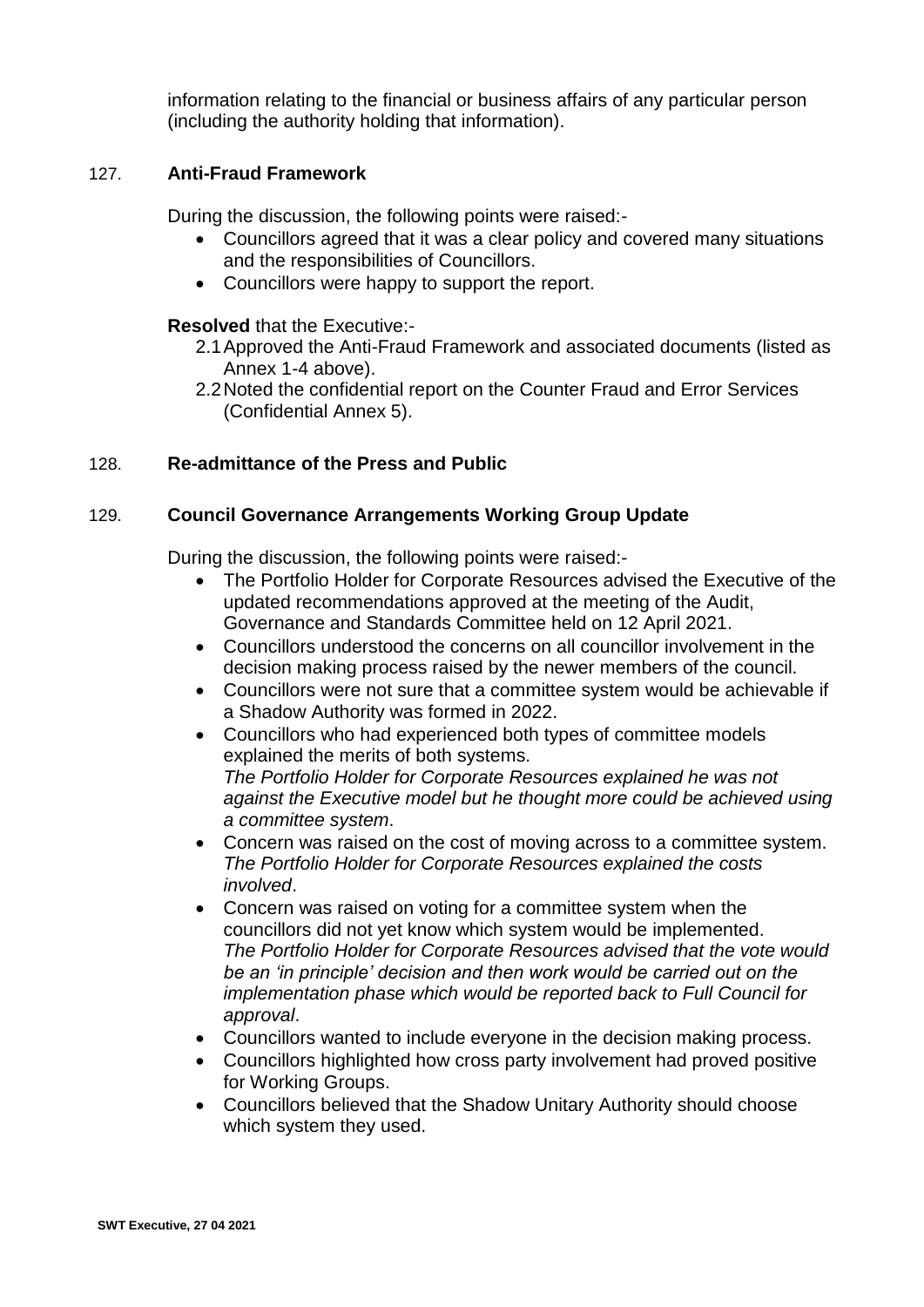information relating to the financial or business affairs of any particular person (including the authority holding that information).

# 127. **Anti-Fraud Framework**

During the discussion, the following points were raised:-

- Councillors agreed that it was a clear policy and covered many situations and the responsibilities of Councillors.
- Councillors were happy to support the report.

# **Resolved** that the Executive:-

- 2.1Approved the Anti-Fraud Framework and associated documents (listed as Annex 1-4 above).
- 2.2Noted the confidential report on the Counter Fraud and Error Services (Confidential Annex 5).

# 128. **Re-admittance of the Press and Public**

# 129. **Council Governance Arrangements Working Group Update**

During the discussion, the following points were raised:-

- The Portfolio Holder for Corporate Resources advised the Executive of the updated recommendations approved at the meeting of the Audit, Governance and Standards Committee held on 12 April 2021.
- Councillors understood the concerns on all councillor involvement in the decision making process raised by the newer members of the council.
- Councillors were not sure that a committee system would be achievable if a Shadow Authority was formed in 2022.
- Councillors who had experienced both types of committee models explained the merits of both systems. *The Portfolio Holder for Corporate Resources explained he was not against the Executive model but he thought more could be achieved using a committee system*.
- Concern was raised on the cost of moving across to a committee system. *The Portfolio Holder for Corporate Resources explained the costs involved*.
- Concern was raised on voting for a committee system when the councillors did not yet know which system would be implemented. *The Portfolio Holder for Corporate Resources advised that the vote would be an 'in principle' decision and then work would be carried out on the implementation phase which would be reported back to Full Council for approval*.
- Councillors wanted to include everyone in the decision making process.
- Councillors highlighted how cross party involvement had proved positive for Working Groups.
- Councillors believed that the Shadow Unitary Authority should choose which system they used.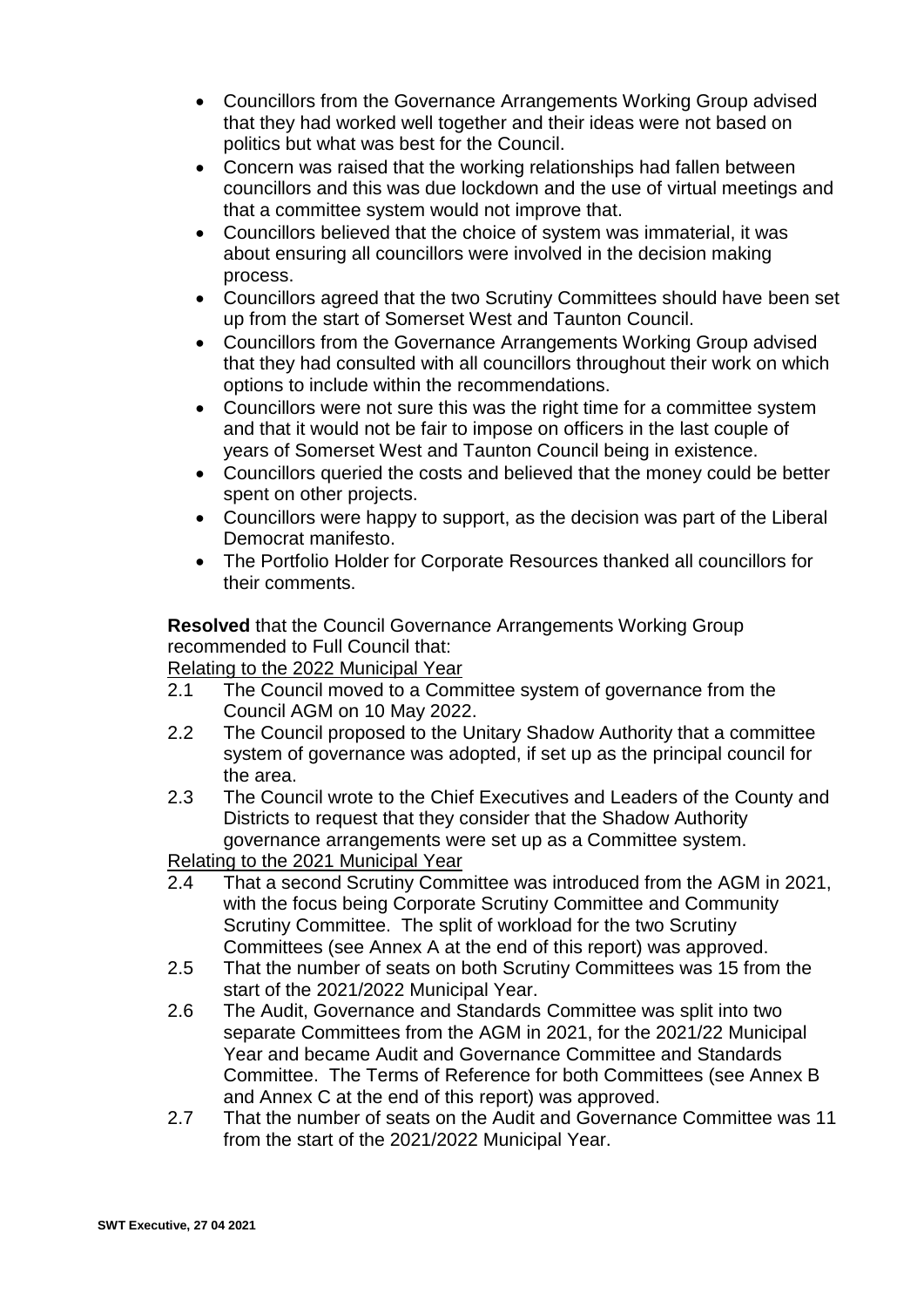- Councillors from the Governance Arrangements Working Group advised that they had worked well together and their ideas were not based on politics but what was best for the Council.
- Concern was raised that the working relationships had fallen between councillors and this was due lockdown and the use of virtual meetings and that a committee system would not improve that.
- Councillors believed that the choice of system was immaterial, it was about ensuring all councillors were involved in the decision making process.
- Councillors agreed that the two Scrutiny Committees should have been set up from the start of Somerset West and Taunton Council.
- Councillors from the Governance Arrangements Working Group advised that they had consulted with all councillors throughout their work on which options to include within the recommendations.
- Councillors were not sure this was the right time for a committee system and that it would not be fair to impose on officers in the last couple of years of Somerset West and Taunton Council being in existence.
- Councillors queried the costs and believed that the money could be better spent on other projects.
- Councillors were happy to support, as the decision was part of the Liberal Democrat manifesto.
- The Portfolio Holder for Corporate Resources thanked all councillors for their comments.

**Resolved** that the Council Governance Arrangements Working Group recommended to Full Council that:

# Relating to the 2022 Municipal Year

- 2.1 The Council moved to a Committee system of governance from the Council AGM on 10 May 2022.
- 2.2 The Council proposed to the Unitary Shadow Authority that a committee system of governance was adopted, if set up as the principal council for the area.
- 2.3 The Council wrote to the Chief Executives and Leaders of the County and Districts to request that they consider that the Shadow Authority governance arrangements were set up as a Committee system.

Relating to the 2021 Municipal Year

- 2.4 That a second Scrutiny Committee was introduced from the AGM in 2021, with the focus being Corporate Scrutiny Committee and Community Scrutiny Committee. The split of workload for the two Scrutiny Committees (see Annex A at the end of this report) was approved.
- 2.5 That the number of seats on both Scrutiny Committees was 15 from the start of the 2021/2022 Municipal Year.
- 2.6 The Audit, Governance and Standards Committee was split into two separate Committees from the AGM in 2021, for the 2021/22 Municipal Year and became Audit and Governance Committee and Standards Committee. The Terms of Reference for both Committees (see Annex B and Annex C at the end of this report) was approved.
- 2.7 That the number of seats on the Audit and Governance Committee was 11 from the start of the 2021/2022 Municipal Year.